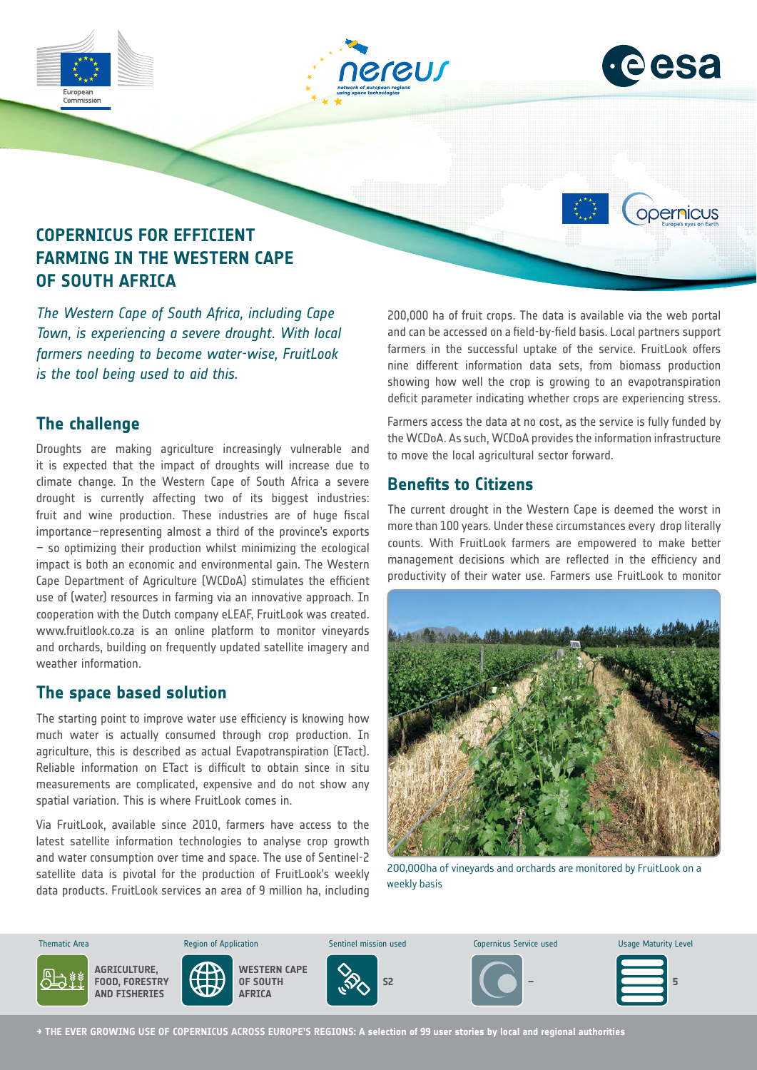

*Town, is experiencing a severe drought. With local farmers needing to become water-wise, FruitLook is the tool being used to aid this.*

# **The challenge**

Droughts are making agriculture increasingly vulnerable and it is expected that the impact of droughts will increase due to climate change. In the Western Cape of South Africa a severe drought is currently affecting two of its biggest industries: fruit and wine production. These industries are of huge fiscal importance–representing almost a third of the province's exports – so optimizing their production whilst minimizing the ecological impact is both an economic and environmental gain. The Western Cape Department of Agriculture (WCDoA) stimulates the efficient use of (water) resources in farming via an innovative approach. In cooperation with the Dutch company eLEAF, FruitLook was created. www.fruitlook.co.za is an online platform to monitor vineyards and orchards, building on frequently updated satellite imagery and weather information.

## **The space based solution**

The starting point to improve water use efficiency is knowing how much water is actually consumed through crop production. In agriculture, this is described as actual Evapotranspiration (ETact). Reliable information on ETact is difficult to obtain since in situ measurements are complicated, expensive and do not show any spatial variation. This is where FruitLook comes in.

Via FruitLook, available since 2010, farmers have access to the latest satellite information technologies to analyse crop growth and water consumption over time and space. The use of Sentinel-2 satellite data is pivotal for the production of FruitLook's weekly data products. FruitLook services an area of 9 million ha, including

and can be accessed on a field-by-field basis. Local partners support farmers in the successful uptake of the service. FruitLook offers nine different information data sets, from biomass production showing how well the crop is growing to an evapotranspiration deficit parameter indicating whether crops are experiencing stress.

Farmers access the data at no cost, as the service is fully funded by the WCDoA. As such, WCDoA provides the information infrastructure to move the local agricultural sector forward.

### **Benefits to Citizens**

The current drought in the Western Cape is deemed the worst in more than 100 years. Under these circumstances every drop literally counts. With FruitLook farmers are empowered to make better management decisions which are reflected in the efficiency and productivity of their water use. Farmers use FruitLook to monitor



200,000ha of vineyards and orchards are monitored by FruitLook on a weekly basis



**→ THE EVER GROWING USE OF COPERNICUS ACROSS EUROPE'S REGIONS: A selection of 99 user stories by local and regional authorities**